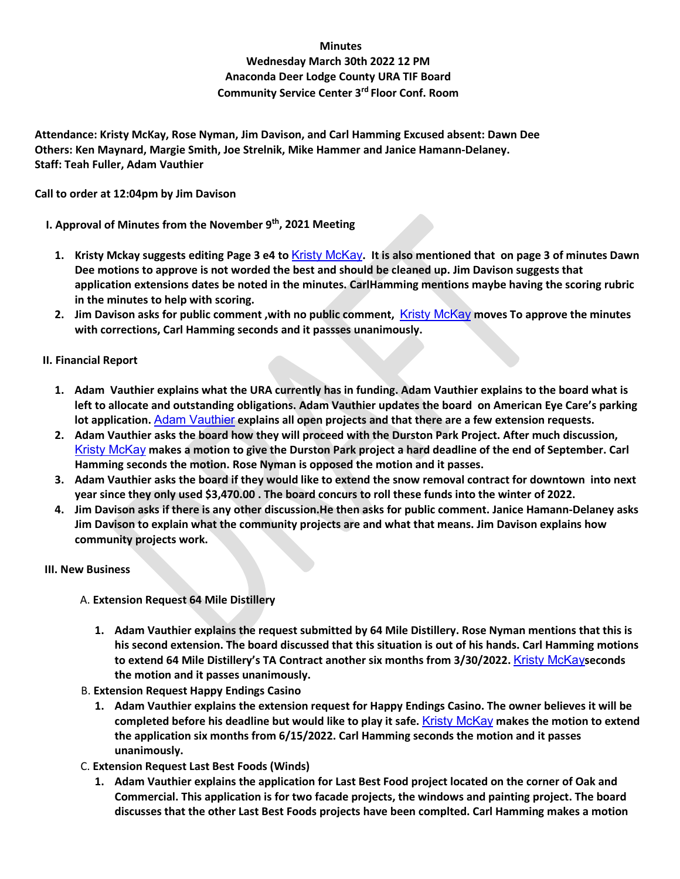## **Minutes**

# **Wednesday March 30th 2022 12 PM Anaconda Deer Lodge County URA TIF Board Community Service Center 3rd Floor Conf. Room**

**Attendance: Kristy McKay, Rose Nyman, Jim Davison, and Carl Hamming Excused absent: Dawn Dee Others: Ken Maynard, Margie Smith, Joe Strelnik, Mike Hammer and Janice Hamann-Delaney. Staff: Teah Fuller, Adam Vauthier**

#### **Call to order at 12:04pm by Jim Davison**

**I. Approval of Minutes from the November 9th, 2021 Meeting** 

- **1. Kristy Mckay suggests editing Page 3 e4 to** [Kristy McKay](mailto:KMcKay@glacierbank.com)**. It is also mentioned that on page 3 of minutes Dawn Dee motions to approve is not worded the best and should be cleaned up. Jim Davison suggests that application extensions dates be noted in the minutes. CarlHamming mentions maybe having the scoring rubric in the minutes to help with scoring.**
- **2. Jim Davison asks for public comment ,with no public comment,** [Kristy McKay](mailto:KMcKay@glacierbank.com) **moves To approve the minutes with corrections, Carl Hamming seconds and it passses unanimously.**

# **II. Financial Report**

- **1. Adam Vauthier explains what the URA currently has in funding. Adam Vauthier explains to the board what is left to allocate and outstanding obligations. Adam Vauthier updates the board on American Eye Care's parking lot application.** [Adam Vauthier](mailto:adam@discoveranaconda.com) **explains all open projects and that there are a few extension requests.**
- **2. Adam Vauthier asks the board how they will proceed with the Durston Park Project. After much discussion,**  [Kristy McKay](mailto:KMcKay@glacierbank.com) **makes a motion to give the Durston Park project a hard deadline of the end of September. Carl Hamming seconds the motion. Rose Nyman is opposed the motion and it passes.**
- **3. Adam Vauthier asks the board if they would like to extend the snow removal contract for downtown into next year since they only used \$3,470.00 . The board concurs to roll these funds into the winter of 2022.**
- **4. Jim Davison asks if there is any other discussion.He then asks for public comment. Janice Hamann-Delaney asks Jim Davison to explain what the community projects are and what that means. Jim Davison explains how community projects work.**

# **III. New Business**

- A. **Extension Request 64 Mile Distillery** 
	- **1. Adam Vauthier explains the request submitted by 64 Mile Distillery. Rose Nyman mentions that this is his second extension. The board discussed that this situation is out of his hands. Carl Hamming motions to extend 64 Mile Distillery's TA Contract another six months from 3/30/2022.** [Kristy McKay](mailto:KMcKay@glacierbank.com)**seconds the motion and it passes unanimously.**
- B. **Extension Request Happy Endings Casino** 
	- **1. Adam Vauthier explains the extension request for Happy Endings Casino. The owner believes it will be completed before his deadline but would like to play it safe.** [Kristy McKay](mailto:KMcKay@glacierbank.com) **makes the motion to extend the application six months from 6/15/2022. Carl Hamming seconds the motion and it passes unanimously.**
- C. **Extension Request Last Best Foods (Winds)** 
	- **1. Adam Vauthier explains the application for Last Best Food project located on the corner of Oak and Commercial. This application is for two facade projects, the windows and painting project. The board discusses that the other Last Best Foods projects have been complted. Carl Hamming makes a motion**